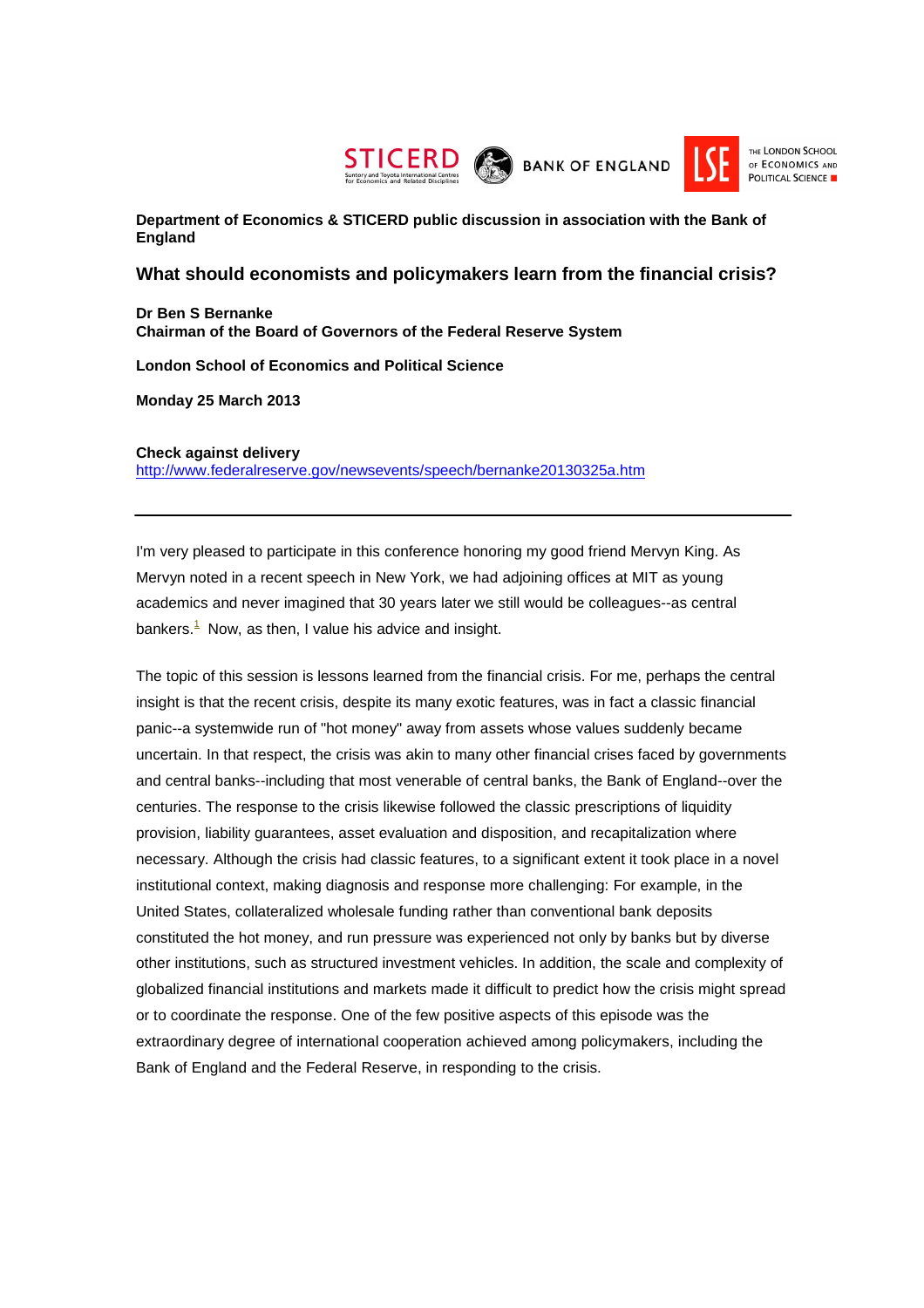



**Department of Economics & STICERD public discussion in association with the Bank of England**

## **What should economists and policymakers learn from the financial crisis?**

**Dr Ben S Bernanke Chairman of the Board of Governors of the Federal Reserve System** 

**London School of Economics and Political Science** 

**Monday 25 March 2013** 

## **Check against delivery**

http://www.federalreserve.gov/newsevents/speech/bernanke20130325a.htm

I'm very pleased to participate in this conference honoring my good friend Mervyn King. As Mervyn noted in a recent speech in New York, we had adjoining offices at MIT as young academics and never imagined that 30 years later we still would be colleagues--as central bankers. $<sup>1</sup>$  Now, as then, I value his advice and insight.</sup>

The topic of this session is lessons learned from the financial crisis. For me, perhaps the central insight is that the recent crisis, despite its many exotic features, was in fact a classic financial panic--a systemwide run of "hot money" away from assets whose values suddenly became uncertain. In that respect, the crisis was akin to many other financial crises faced by governments and central banks--including that most venerable of central banks, the Bank of England--over the centuries. The response to the crisis likewise followed the classic prescriptions of liquidity provision, liability guarantees, asset evaluation and disposition, and recapitalization where necessary. Although the crisis had classic features, to a significant extent it took place in a novel institutional context, making diagnosis and response more challenging: For example, in the United States, collateralized wholesale funding rather than conventional bank deposits constituted the hot money, and run pressure was experienced not only by banks but by diverse other institutions, such as structured investment vehicles. In addition, the scale and complexity of globalized financial institutions and markets made it difficult to predict how the crisis might spread or to coordinate the response. One of the few positive aspects of this episode was the extraordinary degree of international cooperation achieved among policymakers, including the Bank of England and the Federal Reserve, in responding to the crisis.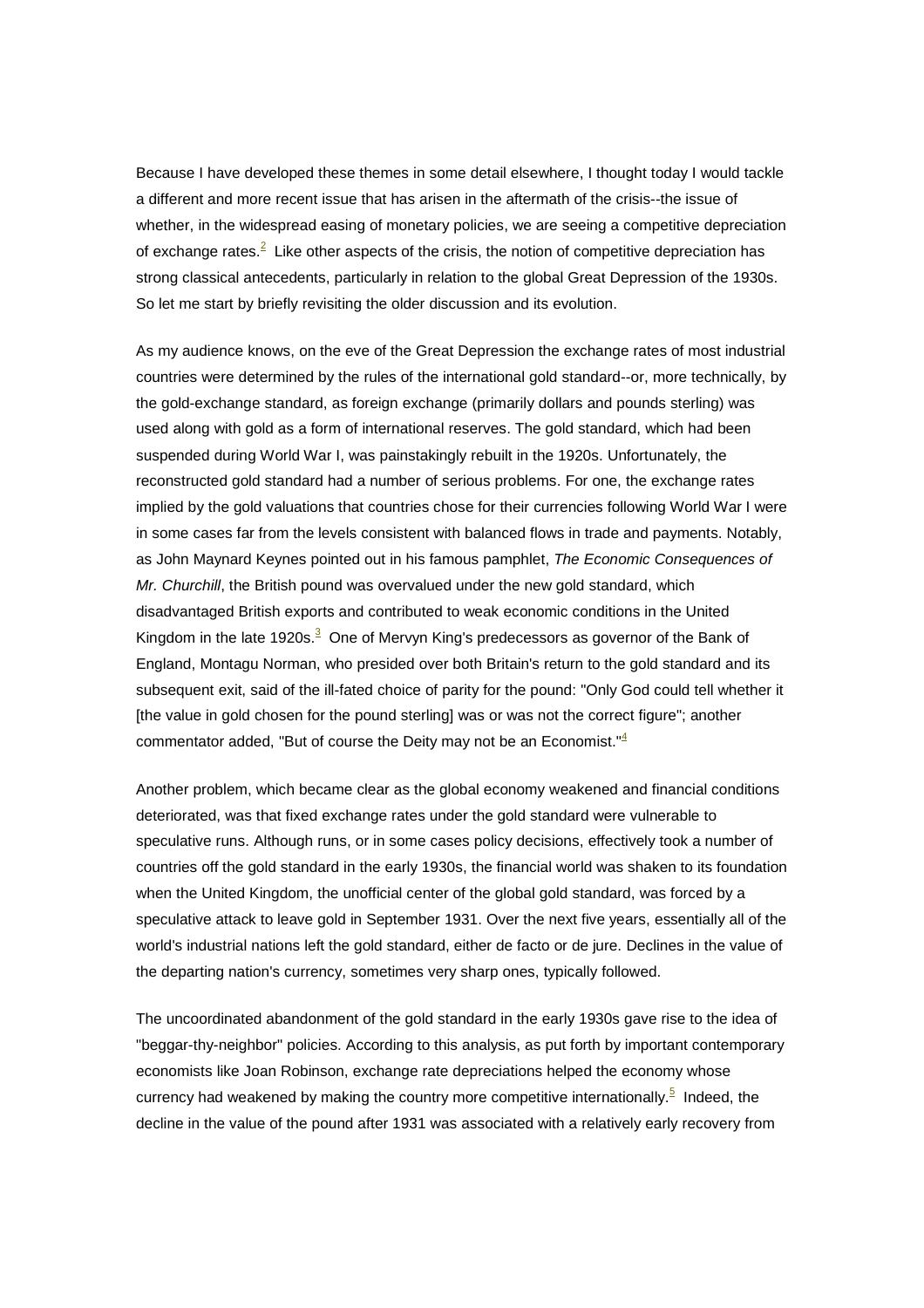Because I have developed these themes in some detail elsewhere, I thought today I would tackle a different and more recent issue that has arisen in the aftermath of the crisis--the issue of whether, in the widespread easing of monetary policies, we are seeing a competitive depreciation of exchange rates.<sup>2</sup> Like other aspects of the crisis, the notion of competitive depreciation has strong classical antecedents, particularly in relation to the global Great Depression of the 1930s. So let me start by briefly revisiting the older discussion and its evolution.

As my audience knows, on the eve of the Great Depression the exchange rates of most industrial countries were determined by the rules of the international gold standard--or, more technically, by the gold-exchange standard, as foreign exchange (primarily dollars and pounds sterling) was used along with gold as a form of international reserves. The gold standard, which had been suspended during World War I, was painstakingly rebuilt in the 1920s. Unfortunately, the reconstructed gold standard had a number of serious problems. For one, the exchange rates implied by the gold valuations that countries chose for their currencies following World War I were in some cases far from the levels consistent with balanced flows in trade and payments. Notably, as John Maynard Keynes pointed out in his famous pamphlet, The Economic Consequences of Mr. Churchill, the British pound was overvalued under the new gold standard, which disadvantaged British exports and contributed to weak economic conditions in the United Kingdom in the late 1920s.<sup>3</sup> One of Mervyn King's predecessors as governor of the Bank of England, Montagu Norman, who presided over both Britain's return to the gold standard and its subsequent exit, said of the ill-fated choice of parity for the pound: "Only God could tell whether it [the value in gold chosen for the pound sterling] was or was not the correct figure"; another commentator added, "But of course the Deity may not be an Economist." $4$ 

Another problem, which became clear as the global economy weakened and financial conditions deteriorated, was that fixed exchange rates under the gold standard were vulnerable to speculative runs. Although runs, or in some cases policy decisions, effectively took a number of countries off the gold standard in the early 1930s, the financial world was shaken to its foundation when the United Kingdom, the unofficial center of the global gold standard, was forced by a speculative attack to leave gold in September 1931. Over the next five years, essentially all of the world's industrial nations left the gold standard, either de facto or de jure. Declines in the value of the departing nation's currency, sometimes very sharp ones, typically followed.

The uncoordinated abandonment of the gold standard in the early 1930s gave rise to the idea of "beggar-thy-neighbor" policies. According to this analysis, as put forth by important contemporary economists like Joan Robinson, exchange rate depreciations helped the economy whose currency had weakened by making the country more competitive internationally.<sup>5</sup> Indeed, the decline in the value of the pound after 1931 was associated with a relatively early recovery from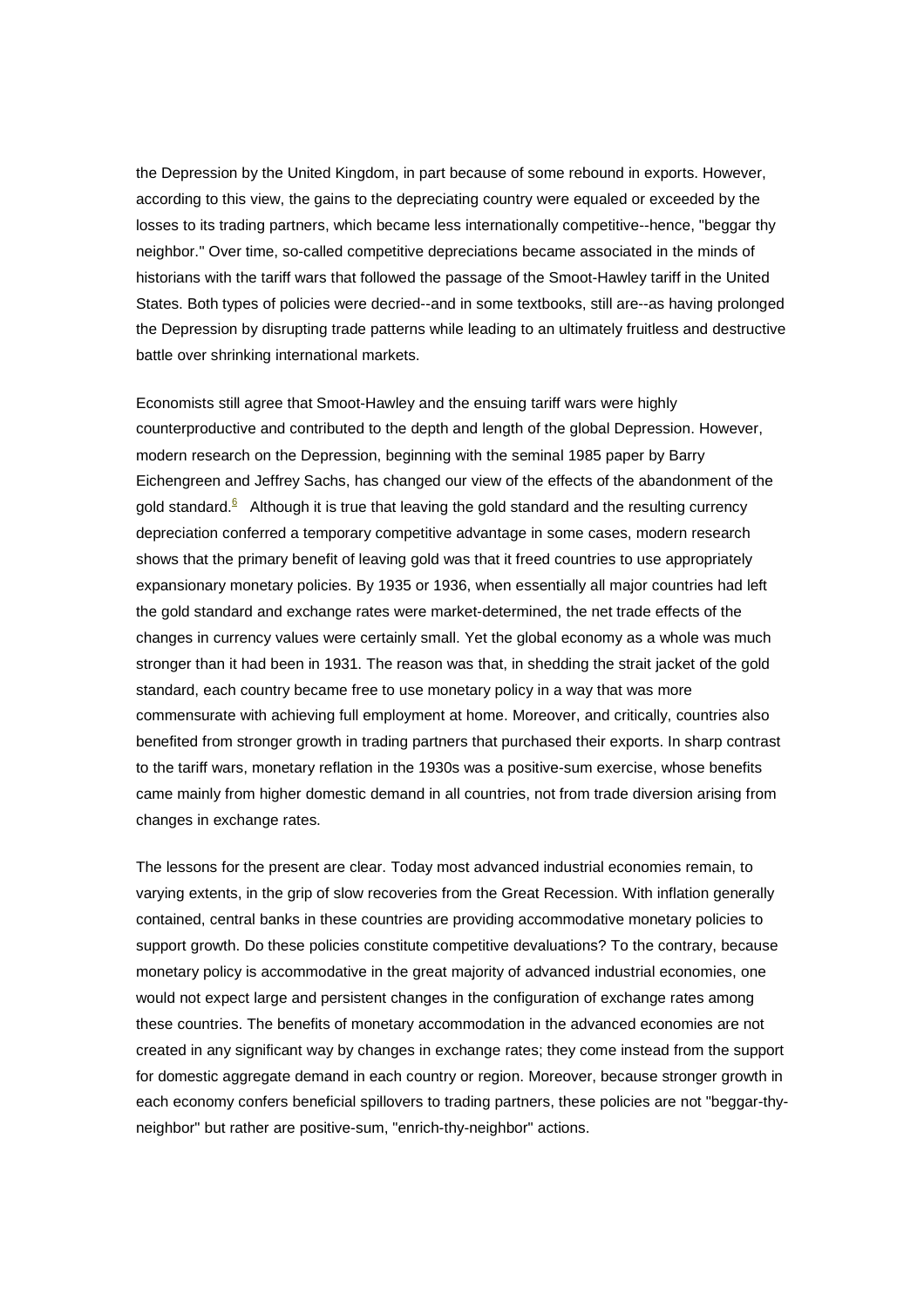the Depression by the United Kingdom, in part because of some rebound in exports. However, according to this view, the gains to the depreciating country were equaled or exceeded by the losses to its trading partners, which became less internationally competitive--hence, "beggar thy neighbor." Over time, so-called competitive depreciations became associated in the minds of historians with the tariff wars that followed the passage of the Smoot-Hawley tariff in the United States. Both types of policies were decried--and in some textbooks, still are--as having prolonged the Depression by disrupting trade patterns while leading to an ultimately fruitless and destructive battle over shrinking international markets.

Economists still agree that Smoot-Hawley and the ensuing tariff wars were highly counterproductive and contributed to the depth and length of the global Depression. However, modern research on the Depression, beginning with the seminal 1985 paper by Barry Eichengreen and Jeffrey Sachs, has changed our view of the effects of the abandonment of the gold standard.<sup>6</sup> Although it is true that leaving the gold standard and the resulting currency depreciation conferred a temporary competitive advantage in some cases, modern research shows that the primary benefit of leaving gold was that it freed countries to use appropriately expansionary monetary policies. By 1935 or 1936, when essentially all major countries had left the gold standard and exchange rates were market-determined, the net trade effects of the changes in currency values were certainly small. Yet the global economy as a whole was much stronger than it had been in 1931. The reason was that, in shedding the strait jacket of the gold standard, each country became free to use monetary policy in a way that was more commensurate with achieving full employment at home. Moreover, and critically, countries also benefited from stronger growth in trading partners that purchased their exports. In sharp contrast to the tariff wars, monetary reflation in the 1930s was a positive-sum exercise, whose benefits came mainly from higher domestic demand in all countries, not from trade diversion arising from changes in exchange rates.

The lessons for the present are clear. Today most advanced industrial economies remain, to varying extents, in the grip of slow recoveries from the Great Recession. With inflation generally contained, central banks in these countries are providing accommodative monetary policies to support growth. Do these policies constitute competitive devaluations? To the contrary, because monetary policy is accommodative in the great majority of advanced industrial economies, one would not expect large and persistent changes in the configuration of exchange rates among these countries. The benefits of monetary accommodation in the advanced economies are not created in any significant way by changes in exchange rates; they come instead from the support for domestic aggregate demand in each country or region. Moreover, because stronger growth in each economy confers beneficial spillovers to trading partners, these policies are not "beggar-thyneighbor" but rather are positive-sum, "enrich-thy-neighbor" actions.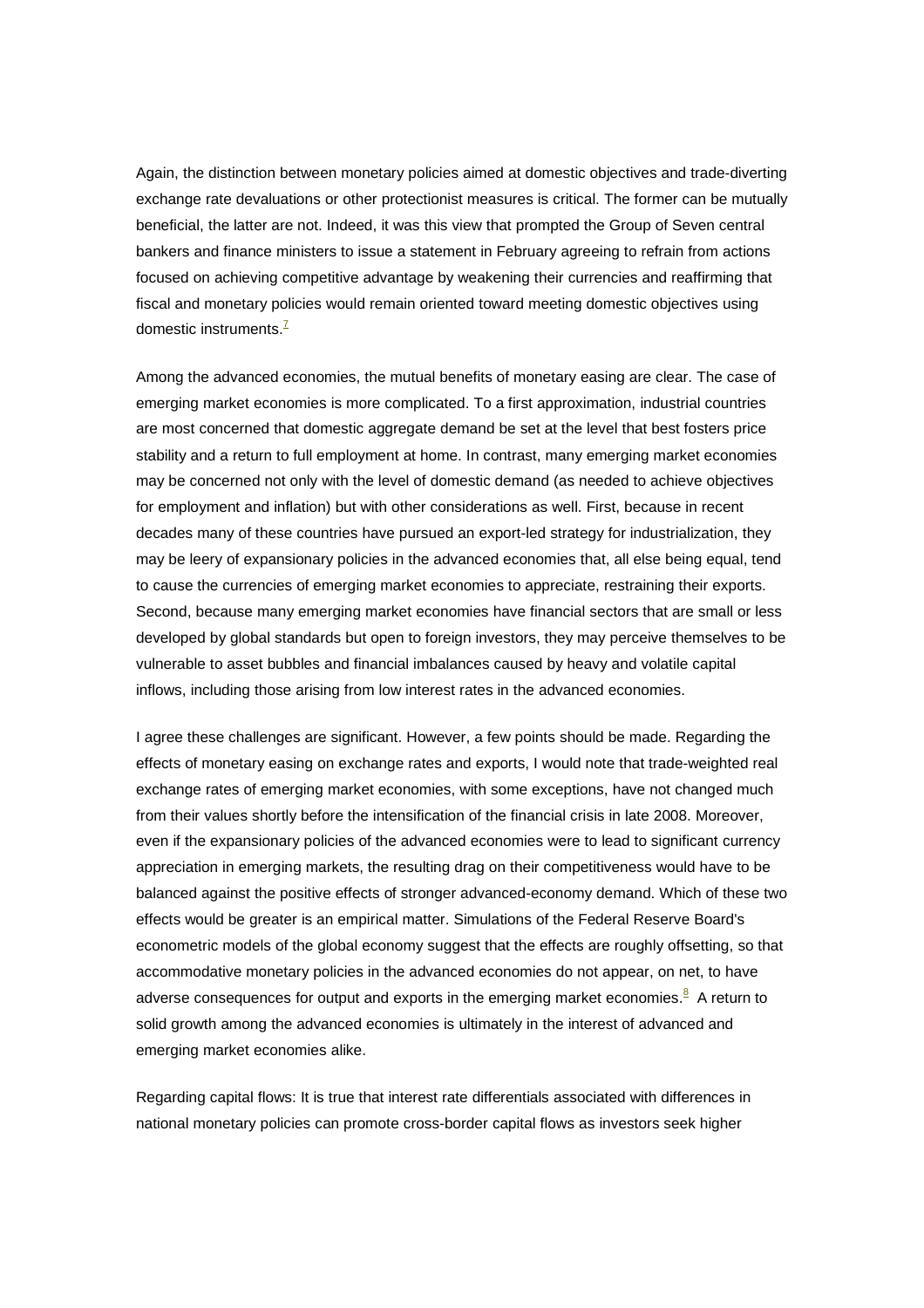Again, the distinction between monetary policies aimed at domestic objectives and trade-diverting exchange rate devaluations or other protectionist measures is critical. The former can be mutually beneficial, the latter are not. Indeed, it was this view that prompted the Group of Seven central bankers and finance ministers to issue a statement in February agreeing to refrain from actions focused on achieving competitive advantage by weakening their currencies and reaffirming that fiscal and monetary policies would remain oriented toward meeting domestic objectives using domestic instruments.<sup>7</sup>

Among the advanced economies, the mutual benefits of monetary easing are clear. The case of emerging market economies is more complicated. To a first approximation, industrial countries are most concerned that domestic aggregate demand be set at the level that best fosters price stability and a return to full employment at home. In contrast, many emerging market economies may be concerned not only with the level of domestic demand (as needed to achieve objectives for employment and inflation) but with other considerations as well. First, because in recent decades many of these countries have pursued an export-led strategy for industrialization, they may be leery of expansionary policies in the advanced economies that, all else being equal, tend to cause the currencies of emerging market economies to appreciate, restraining their exports. Second, because many emerging market economies have financial sectors that are small or less developed by global standards but open to foreign investors, they may perceive themselves to be vulnerable to asset bubbles and financial imbalances caused by heavy and volatile capital inflows, including those arising from low interest rates in the advanced economies.

I agree these challenges are significant. However, a few points should be made. Regarding the effects of monetary easing on exchange rates and exports, I would note that trade-weighted real exchange rates of emerging market economies, with some exceptions, have not changed much from their values shortly before the intensification of the financial crisis in late 2008. Moreover, even if the expansionary policies of the advanced economies were to lead to significant currency appreciation in emerging markets, the resulting drag on their competitiveness would have to be balanced against the positive effects of stronger advanced-economy demand. Which of these two effects would be greater is an empirical matter. Simulations of the Federal Reserve Board's econometric models of the global economy suggest that the effects are roughly offsetting, so that accommodative monetary policies in the advanced economies do not appear, on net, to have adverse consequences for output and exports in the emerging market economies.<sup>8</sup> A return to solid growth among the advanced economies is ultimately in the interest of advanced and emerging market economies alike.

Regarding capital flows: It is true that interest rate differentials associated with differences in national monetary policies can promote cross-border capital flows as investors seek higher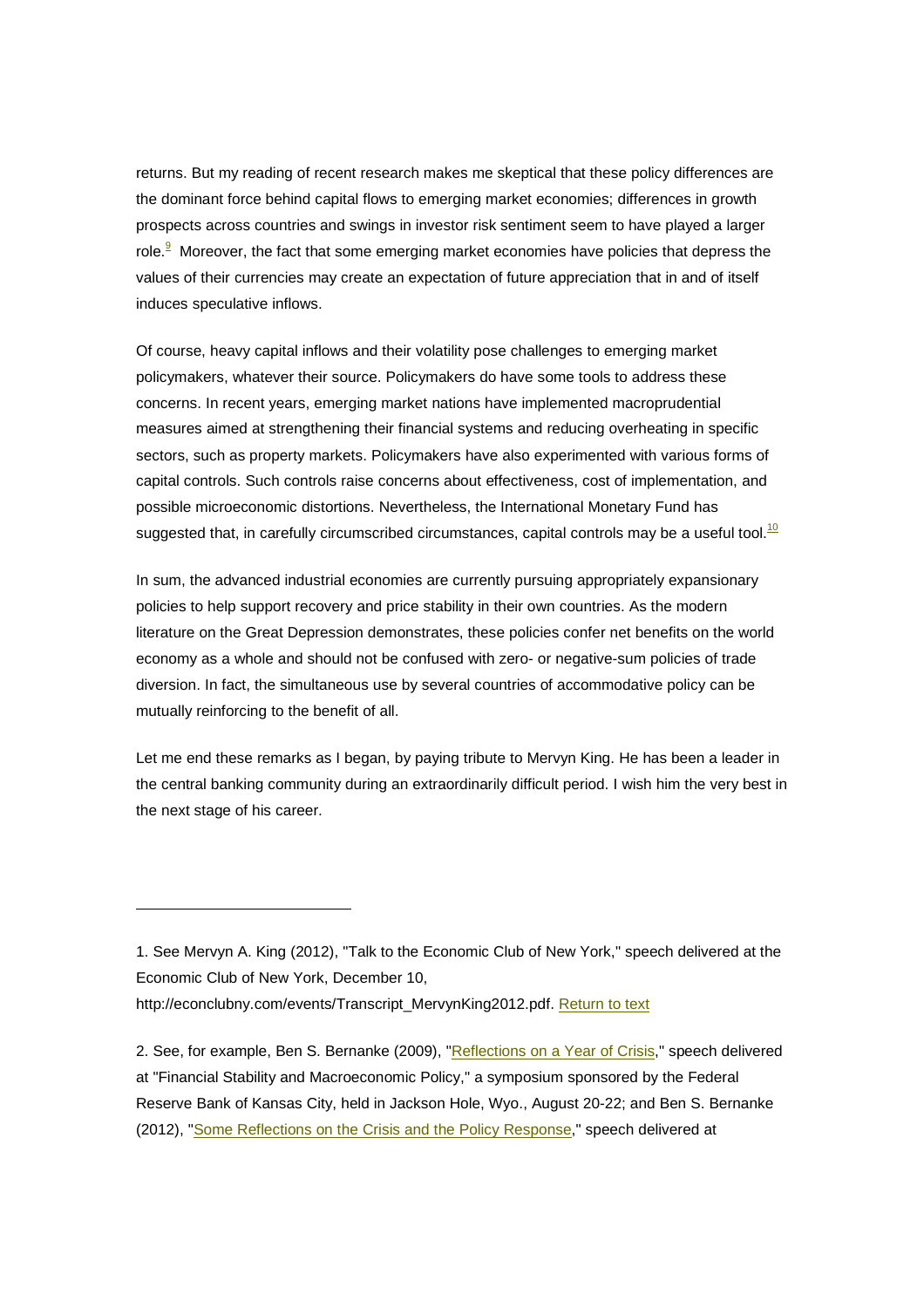returns. But my reading of recent research makes me skeptical that these policy differences are the dominant force behind capital flows to emerging market economies; differences in growth prospects across countries and swings in investor risk sentiment seem to have played a larger role.<sup>9</sup> Moreover, the fact that some emerging market economies have policies that depress the values of their currencies may create an expectation of future appreciation that in and of itself induces speculative inflows.

Of course, heavy capital inflows and their volatility pose challenges to emerging market policymakers, whatever their source. Policymakers do have some tools to address these concerns. In recent years, emerging market nations have implemented macroprudential measures aimed at strengthening their financial systems and reducing overheating in specific sectors, such as property markets. Policymakers have also experimented with various forms of capital controls. Such controls raise concerns about effectiveness, cost of implementation, and possible microeconomic distortions. Nevertheless, the International Monetary Fund has suggested that, in carefully circumscribed circumstances, capital controls may be a useful tool. $10$ 

In sum, the advanced industrial economies are currently pursuing appropriately expansionary policies to help support recovery and price stability in their own countries. As the modern literature on the Great Depression demonstrates, these policies confer net benefits on the world economy as a whole and should not be confused with zero- or negative-sum policies of trade diversion. In fact, the simultaneous use by several countries of accommodative policy can be mutually reinforcing to the benefit of all.

Let me end these remarks as I began, by paying tribute to Mervyn King. He has been a leader in the central banking community during an extraordinarily difficult period. I wish him the very best in the next stage of his career.

<sup>1.</sup> See Mervyn A. King (2012), "Talk to the Economic Club of New York," speech delivered at the Economic Club of New York, December 10,

http://econclubny.com/events/Transcript\_MervynKing2012.pdf. Return to text

<sup>2.</sup> See, for example, Ben S. Bernanke (2009), "Reflections on a Year of Crisis," speech delivered at "Financial Stability and Macroeconomic Policy," a symposium sponsored by the Federal Reserve Bank of Kansas City, held in Jackson Hole, Wyo., August 20-22; and Ben S. Bernanke (2012), "Some Reflections on the Crisis and the Policy Response," speech delivered at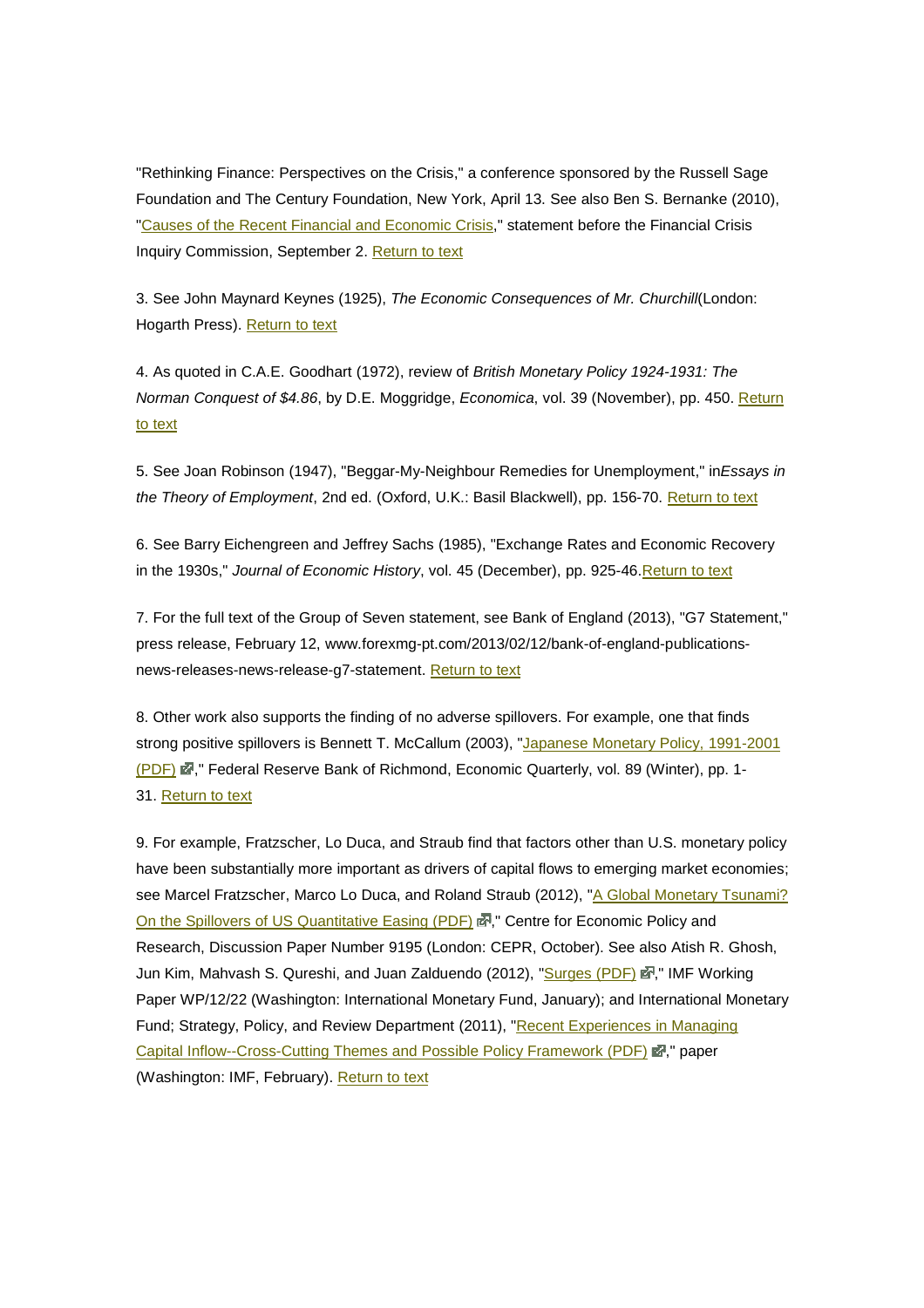"Rethinking Finance: Perspectives on the Crisis," a conference sponsored by the Russell Sage Foundation and The Century Foundation, New York, April 13. See also Ben S. Bernanke (2010), "Causes of the Recent Financial and Economic Crisis," statement before the Financial Crisis Inquiry Commission, September 2. Return to text

3. See John Maynard Keynes (1925), The Economic Consequences of Mr. Churchill(London: Hogarth Press). Return to text

4. As quoted in C.A.E. Goodhart (1972), review of British Monetary Policy 1924-1931: The Norman Conquest of \$4.86, by D.E. Moggridge, Economica, vol. 39 (November), pp. 450. Return to text

5. See Joan Robinson (1947), "Beggar-My-Neighbour Remedies for Unemployment," inEssays in the Theory of Employment, 2nd ed. (Oxford, U.K.: Basil Blackwell), pp. 156-70. Return to text

6. See Barry Eichengreen and Jeffrey Sachs (1985), "Exchange Rates and Economic Recovery in the 1930s," Journal of Economic History, vol. 45 (December), pp. 925-46.Return to text

7. For the full text of the Group of Seven statement, see Bank of England (2013), "G7 Statement," press release, February 12, www.forexmg-pt.com/2013/02/12/bank-of-england-publicationsnews-releases-news-release-g7-statement. Return to text

8. Other work also supports the finding of no adverse spillovers. For example, one that finds strong positive spillovers is Bennett T. McCallum (2003), "Japanese Monetary Policy, 1991-2001 (PDF)  $\vec{E}$ ," Federal Reserve Bank of Richmond, Economic Quarterly, vol. 89 (Winter), pp. 1-31. Return to text

9. For example, Fratzscher, Lo Duca, and Straub find that factors other than U.S. monetary policy have been substantially more important as drivers of capital flows to emerging market economies; see Marcel Fratzscher, Marco Lo Duca, and Roland Straub (2012), "A Global Monetary Tsunami? On the Spillovers of US Quantitative Easing (PDF) 2, "Centre for Economic Policy and Research, Discussion Paper Number 9195 (London: CEPR, October). See also Atish R. Ghosh, Jun Kim, Mahvash S. Qureshi, and Juan Zalduendo (2012), "Surges (PDF) 函," IMF Working Paper WP/12/22 (Washington: International Monetary Fund, January); and International Monetary Fund; Strategy, Policy, and Review Department (2011), "Recent Experiences in Managing Capital Inflow--Cross-Cutting Themes and Possible Policy Framework (PDF) . Paper (Washington: IMF, February). Return to text